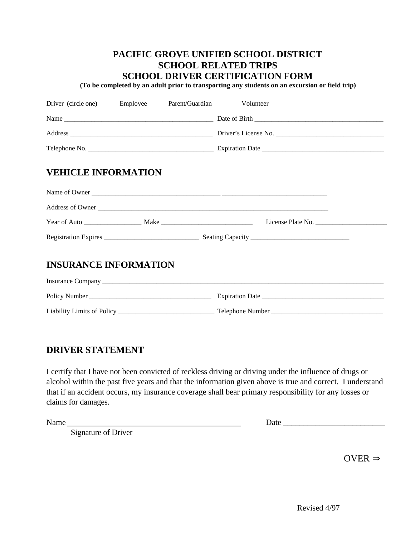## **PACIFIC GROVE UNIFIED SCHOOL DISTRICT SCHOOL RELATED TRIPS SCHOOL DRIVER CERTIFICATION FORM**

 **(To be completed by an adult prior to transporting any students on an excursion or field trip)**

| Driver (circle one) Employee Parent/Guardian Volunteer |  |  |                  |  |
|--------------------------------------------------------|--|--|------------------|--|
|                                                        |  |  |                  |  |
|                                                        |  |  |                  |  |
|                                                        |  |  |                  |  |
| <b>VEHICLE INFORMATION</b>                             |  |  |                  |  |
|                                                        |  |  |                  |  |
|                                                        |  |  | Address of Owner |  |
|                                                        |  |  |                  |  |
|                                                        |  |  |                  |  |
| <b>INSURANCE INFORMATION</b>                           |  |  |                  |  |
|                                                        |  |  |                  |  |
|                                                        |  |  |                  |  |
|                                                        |  |  |                  |  |

## **DRIVER STATEMENT**

I certify that I have not been convicted of reckless driving or driving under the influence of drugs or alcohol within the past five years and that the information given above is true and correct. I understand that if an accident occurs, my insurance coverage shall bear primary responsibility for any losses or claims for damages.

Signature of Driver

Name Date \_\_\_\_\_\_\_\_\_\_\_\_\_\_\_\_\_\_\_\_\_\_\_\_\_

**OVER**